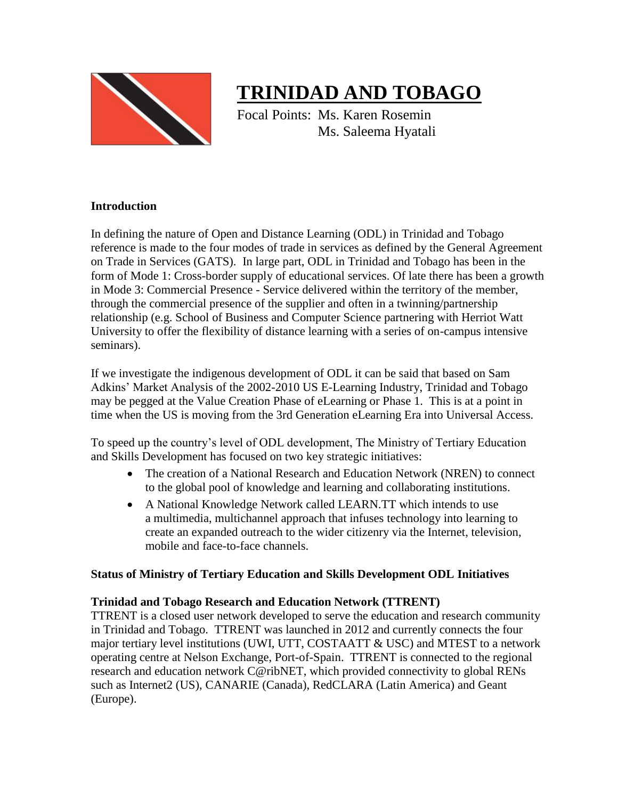

# **TRINIDAD AND TOBAGO**

Focal Points: Ms. Karen Rosemin Ms. Saleema Hyatali

#### **Introduction**

In defining the nature of Open and Distance Learning (ODL) in Trinidad and Tobago reference is made to the four modes of trade in services as defined by the General Agreement on Trade in Services (GATS). In large part, ODL in Trinidad and Tobago has been in the form of Mode 1: Cross-border supply of educational services. Of late there has been a growth in Mode 3: Commercial Presence - Service delivered within the territory of the member, through the commercial presence of the supplier and often in a twinning/partnership relationship (e.g. School of Business and Computer Science partnering with Herriot Watt University to offer the flexibility of distance learning with a series of on-campus intensive seminars).

If we investigate the indigenous development of ODL it can be said that based on Sam Adkins' Market Analysis of the 2002-2010 US E-Learning Industry, Trinidad and Tobago may be pegged at the Value Creation Phase of eLearning or Phase 1. This is at a point in time when the US is moving from the 3rd Generation eLearning Era into Universal Access.

To speed up the country's level of ODL development, The Ministry of Tertiary Education and Skills Development has focused on two key strategic initiatives:

- The creation of a National Research and Education Network (NREN) to connect to the global pool of knowledge and learning and collaborating institutions.
- A National Knowledge Network called LEARN.TT which intends to use a multimedia, multichannel approach that infuses technology into learning to create an expanded outreach to the wider citizenry via the Internet, television, mobile and face-to-face channels.

#### **Status of Ministry of Tertiary Education and Skills Development ODL Initiatives**

# **Trinidad and Tobago Research and Education Network (TTRENT)**

TTRENT is a closed user network developed to serve the education and research community in Trinidad and Tobago. TTRENT was launched in 2012 and currently connects the four major tertiary level institutions (UWI, UTT, COSTAATT & USC) and MTEST to a network operating centre at Nelson Exchange, Port-of-Spain. TTRENT is connected to the regional research and education network C@ribNET, which provided connectivity to global RENs such as Internet2 (US), CANARIE (Canada), RedCLARA (Latin America) and Geant (Europe).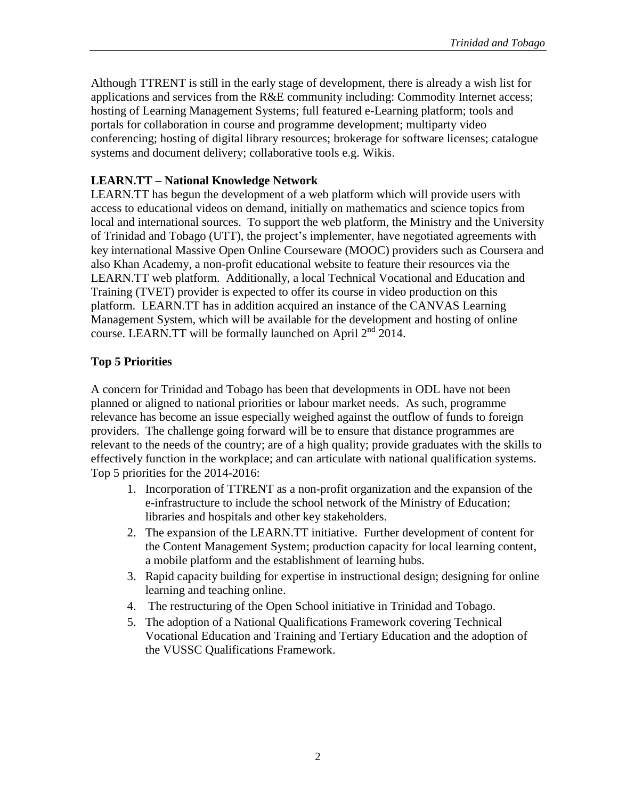Although TTRENT is still in the early stage of development, there is already a wish list for applications and services from the R&E community including: Commodity Internet access; hosting of Learning Management Systems; full featured e-Learning platform; tools and portals for collaboration in course and programme development; multiparty video conferencing; hosting of digital library resources; brokerage for software licenses; catalogue systems and document delivery; collaborative tools e.g. Wikis.

### **LEARN.TT – National Knowledge Network**

LEARN.TT has begun the development of a web platform which will provide users with access to educational videos on demand, initially on mathematics and science topics from local and international sources. To support the web platform, the Ministry and the University of Trinidad and Tobago (UTT), the project's implementer, have negotiated agreements with key international Massive Open Online Courseware (MOOC) providers such as Coursera and also Khan Academy, a non-profit educational website to feature their resources via the LEARN.TT web platform. Additionally, a local Technical Vocational and Education and Training (TVET) provider is expected to offer its course in video production on this platform. LEARN.TT has in addition acquired an instance of the CANVAS Learning Management System, which will be available for the development and hosting of online course. LEARN.TT will be formally launched on April  $2<sup>nd</sup>$  2014.

# **Top 5 Priorities**

A concern for Trinidad and Tobago has been that developments in ODL have not been planned or aligned to national priorities or labour market needs. As such, programme relevance has become an issue especially weighed against the outflow of funds to foreign providers. The challenge going forward will be to ensure that distance programmes are relevant to the needs of the country; are of a high quality; provide graduates with the skills to effectively function in the workplace; and can articulate with national qualification systems. Top 5 priorities for the 2014-2016:

- 1. Incorporation of TTRENT as a non-profit organization and the expansion of the e-infrastructure to include the school network of the Ministry of Education; libraries and hospitals and other key stakeholders.
- 2. The expansion of the LEARN.TT initiative. Further development of content for the Content Management System; production capacity for local learning content, a mobile platform and the establishment of learning hubs.
- 3. Rapid capacity building for expertise in instructional design; designing for online learning and teaching online.
- 4. The restructuring of the Open School initiative in Trinidad and Tobago.
- 5. The adoption of a National Qualifications Framework covering Technical Vocational Education and Training and Tertiary Education and the adoption of the VUSSC Qualifications Framework.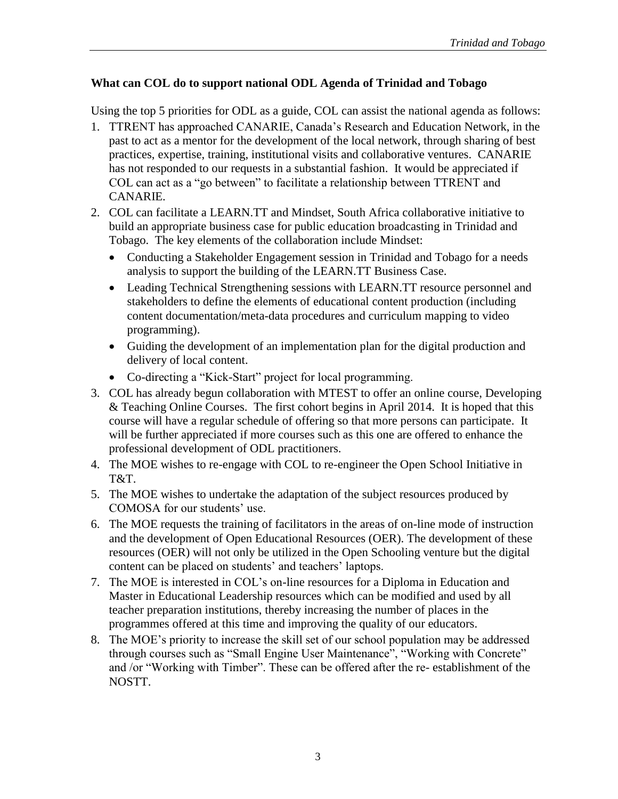# **What can COL do to support national ODL Agenda of Trinidad and Tobago**

Using the top 5 priorities for ODL as a guide, COL can assist the national agenda as follows:

- 1. TTRENT has approached CANARIE, Canada's Research and Education Network, in the past to act as a mentor for the development of the local network, through sharing of best practices, expertise, training, institutional visits and collaborative ventures. CANARIE has not responded to our requests in a substantial fashion. It would be appreciated if COL can act as a "go between" to facilitate a relationship between TTRENT and CANARIE.
- 2. COL can facilitate a LEARN.TT and Mindset, South Africa collaborative initiative to build an appropriate business case for public education broadcasting in Trinidad and Tobago. The key elements of the collaboration include Mindset:
	- Conducting a Stakeholder Engagement session in Trinidad and Tobago for a needs analysis to support the building of the LEARN.TT Business Case.
	- Leading Technical Strengthening sessions with LEARN.TT resource personnel and stakeholders to define the elements of educational content production (including content documentation/meta-data procedures and curriculum mapping to video programming).
	- Guiding the development of an implementation plan for the digital production and delivery of local content.
	- Co-directing a "Kick-Start" project for local programming.
- 3. COL has already begun collaboration with MTEST to offer an online course, Developing & Teaching Online Courses. The first cohort begins in April 2014. It is hoped that this course will have a regular schedule of offering so that more persons can participate. It will be further appreciated if more courses such as this one are offered to enhance the professional development of ODL practitioners.
- 4. The MOE wishes to re-engage with COL to re-engineer the Open School Initiative in T&T.
- 5. The MOE wishes to undertake the adaptation of the subject resources produced by COMOSA for our students' use.
- 6. The MOE requests the training of facilitators in the areas of on-line mode of instruction and the development of Open Educational Resources (OER). The development of these resources (OER) will not only be utilized in the Open Schooling venture but the digital content can be placed on students' and teachers' laptops.
- 7. The MOE is interested in COL's on-line resources for a Diploma in Education and Master in Educational Leadership resources which can be modified and used by all teacher preparation institutions, thereby increasing the number of places in the programmes offered at this time and improving the quality of our educators.
- 8. The MOE's priority to increase the skill set of our school population may be addressed through courses such as "Small Engine User Maintenance", "Working with Concrete" and /or "Working with Timber". These can be offered after the re- establishment of the NOSTT.